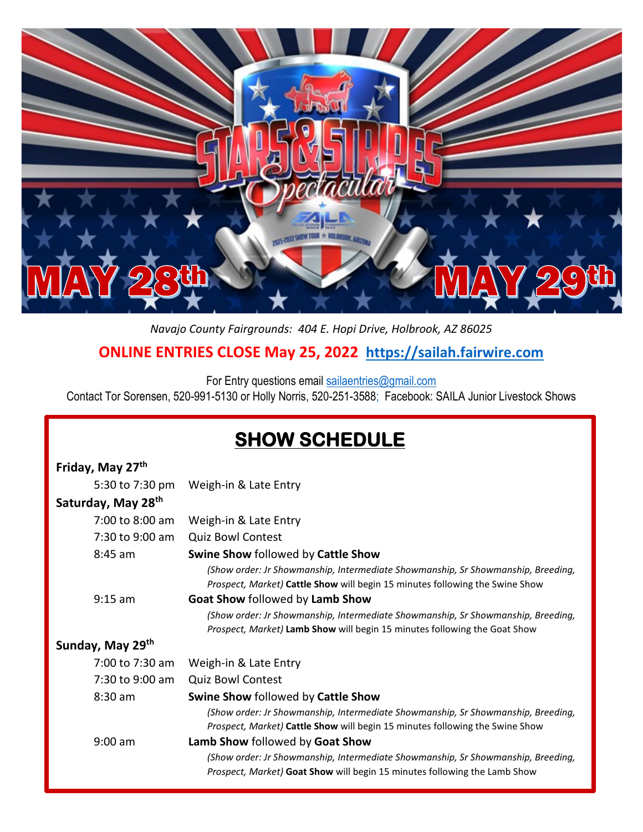

## *Navajo County Fairgrounds: 404 E. Hopi Drive, Holbrook, AZ 86025* **ONLINE ENTRIES CLOSE May 25, 2022 [https://sailah.fairwire.com](https://sailah.fairwire.com/)**

For Entry questions email [sailaentries@gmail.com](mailto:sailaentries@gmail.com)

Contact Tor Sorensen, 520-991-5130 or Holly Norris, 520-251-3588; Facebook: SAILA Junior Livestock Shows

## **SHOW SCHEDULE**

| Friday, May 27th               |                                                                                                                                                                         |
|--------------------------------|-------------------------------------------------------------------------------------------------------------------------------------------------------------------------|
| 5:30 to 7:30 pm                | Weigh-in & Late Entry                                                                                                                                                   |
| Saturday, May 28 <sup>th</sup> |                                                                                                                                                                         |
| 7:00 to 8:00 am                | Weigh-in & Late Entry                                                                                                                                                   |
| 7:30 to 9:00 am                | <b>Quiz Bowl Contest</b>                                                                                                                                                |
| 8:45 am                        | Swine Show followed by Cattle Show                                                                                                                                      |
|                                | (Show order: Jr Showmanship, Intermediate Showmanship, Sr Showmanship, Breeding,<br>Prospect, Market) Cattle Show will begin 15 minutes following the Swine Show        |
| $9:15$ am                      | Goat Show followed by Lamb Show                                                                                                                                         |
|                                | (Show order: Jr Showmanship, Intermediate Showmanship, Sr Showmanship, Breeding,                                                                                        |
|                                | Prospect, Market) Lamb Show will begin 15 minutes following the Goat Show                                                                                               |
| Sunday, May 29th               |                                                                                                                                                                         |
| 7:00 to 7:30 am                | Weigh-in & Late Entry                                                                                                                                                   |
| 7:30 to 9:00 am                | <b>Quiz Bowl Contest</b>                                                                                                                                                |
| $8:30$ am                      | Swine Show followed by Cattle Show                                                                                                                                      |
|                                | (Show order: Jr Showmanship, Intermediate Showmanship, Sr Showmanship, Breeding,<br><i>Prospect, Market)</i> Cattle Show will begin 15 minutes following the Swine Show |
| $9:00$ am                      | Lamb Show followed by Goat Show                                                                                                                                         |
|                                | (Show order: Jr Showmanship, Intermediate Showmanship, Sr Showmanship, Breeding,<br>Prospect, Market) Goat Show will begin 15 minutes following the Lamb Show           |